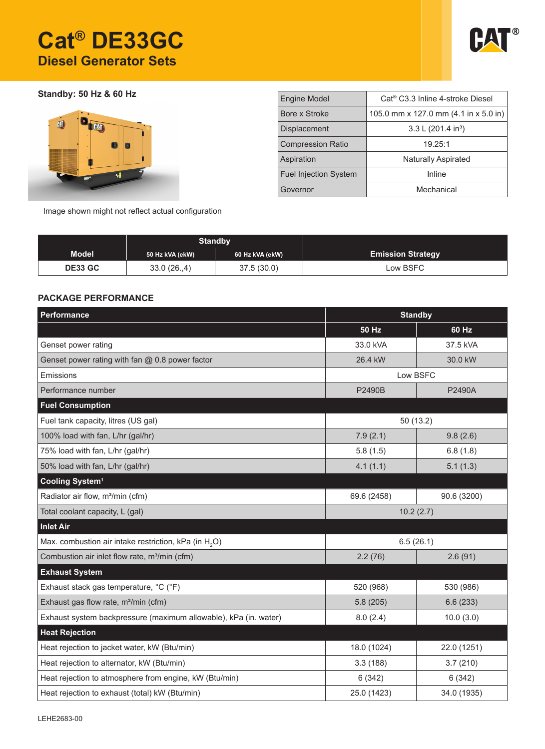# **Cat® DE33GC Diesel Generator Sets**



**Standby: 50 Hz & 60 Hz**



| <b>Engine Model</b>          | Cat <sup>®</sup> C3.3 Inline 4-stroke Diesel |  |  |  |
|------------------------------|----------------------------------------------|--|--|--|
| Bore x Stroke                | 105.0 mm x 127.0 mm (4.1 in x 5.0 in)        |  |  |  |
| Displacement                 | 3.3 L (201.4 in <sup>3</sup> )               |  |  |  |
| <b>Compression Ratio</b>     | 19.25:1                                      |  |  |  |
| Aspiration                   | <b>Naturally Aspirated</b>                   |  |  |  |
| <b>Fuel Injection System</b> | Inline                                       |  |  |  |
| Governor                     | Mechanical                                   |  |  |  |

Image shown might not reflect actual configuration

|                | <b>Standby</b>  |                 |                          |
|----------------|-----------------|-----------------|--------------------------|
| <b>Model</b>   | 50 Hz kVA (ekW) | 60 Hz kVA (ekW) | <b>Emission Strategy</b> |
| <b>DE33 GC</b> | 33.0(26.4)      | 37.5(30.0)      | Low BSFC                 |

### **PACKAGE PERFORMANCE**

| Performance                                                       | <b>Standby</b> |             |  |
|-------------------------------------------------------------------|----------------|-------------|--|
|                                                                   | 50 Hz          | 60 Hz       |  |
| Genset power rating                                               | 33.0 kVA       | 37.5 kVA    |  |
| Genset power rating with fan @ 0.8 power factor                   | 26.4 kW        | 30.0 kW     |  |
| Emissions                                                         | Low BSFC       |             |  |
| Performance number                                                | P2490B         | P2490A      |  |
| <b>Fuel Consumption</b>                                           |                |             |  |
| Fuel tank capacity, litres (US gal)                               | 50(13.2)       |             |  |
| 100% load with fan, L/hr (gal/hr)                                 | 7.9(2.1)       | 9.8(2.6)    |  |
| 75% load with fan, L/hr (gal/hr)                                  | 5.8(1.5)       | 6.8(1.8)    |  |
| 50% load with fan, L/hr (gal/hr)                                  | 4.1(1.1)       | 5.1(1.3)    |  |
| Cooling System <sup>1</sup>                                       |                |             |  |
| Radiator air flow, m <sup>3</sup> /min (cfm)                      | 69.6 (2458)    | 90.6 (3200) |  |
| Total coolant capacity, L (gal)                                   | 10.2(2.7)      |             |  |
| <b>Inlet Air</b>                                                  |                |             |  |
| Max. combustion air intake restriction, kPa (in H <sub>2</sub> O) | 6.5(26.1)      |             |  |
| Combustion air inlet flow rate, m <sup>3</sup> /min (cfm)         | 2.2(76)        | 2.6(91)     |  |
| <b>Exhaust System</b>                                             |                |             |  |
| Exhaust stack gas temperature, °C (°F)                            | 520 (968)      | 530 (986)   |  |
| Exhaust gas flow rate, m <sup>3</sup> /min (cfm)                  | 5.8(205)       | 6.6(233)    |  |
| Exhaust system backpressure (maximum allowable), kPa (in. water)  | 8.0(2.4)       | 10.0(3.0)   |  |
| <b>Heat Rejection</b>                                             |                |             |  |
| Heat rejection to jacket water, kW (Btu/min)                      | 18.0 (1024)    | 22.0 (1251) |  |
| Heat rejection to alternator, kW (Btu/min)                        | 3.3(188)       | 3.7(210)    |  |
| Heat rejection to atmosphere from engine, kW (Btu/min)            | 6(342)         | 6(342)      |  |
| Heat rejection to exhaust (total) kW (Btu/min)                    | 25.0 (1423)    | 34.0 (1935) |  |